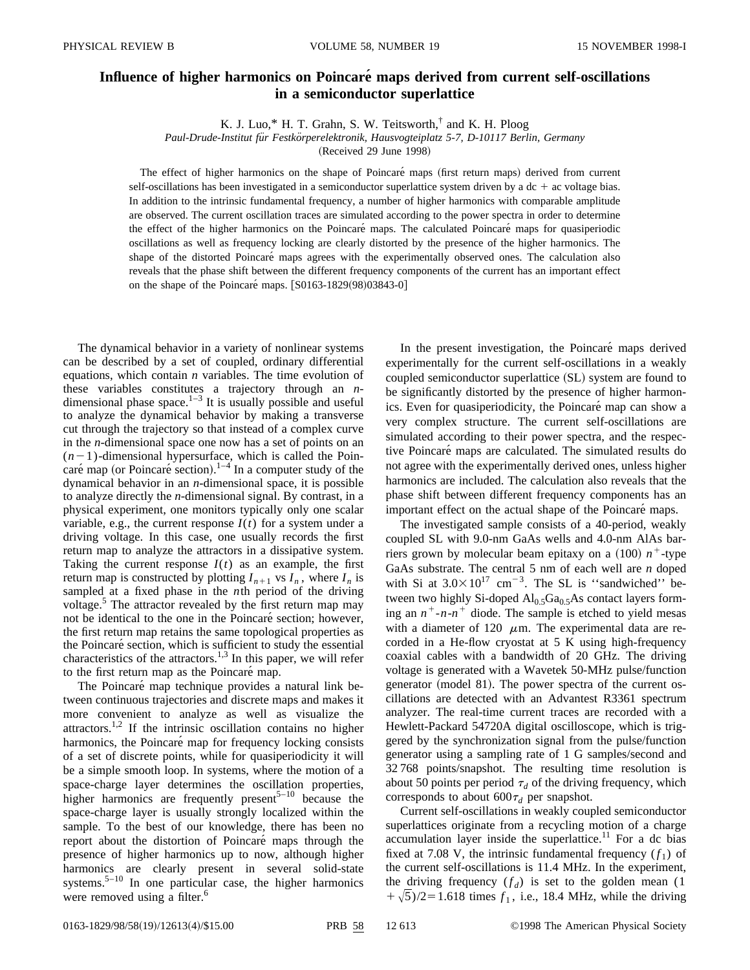## **Influence of higher harmonics on Poincare´ maps derived from current self-oscillations in a semiconductor superlattice**

K. J. Luo,\* H. T. Grahn, S. W. Teitsworth,† and K. H. Ploog

*Paul-Drude-Institut fu¨r Festko¨rperelektronik, Hausvogteiplatz 5-7, D-10117 Berlin, Germany*

 $(Received 29 June 1998)$ 

The effect of higher harmonics on the shape of Poincaré maps (first return maps) derived from current self-oscillations has been investigated in a semiconductor superlattice system driven by a  $dc + ac$  voltage bias. In addition to the intrinsic fundamental frequency, a number of higher harmonics with comparable amplitude are observed. The current oscillation traces are simulated according to the power spectra in order to determine the effect of the higher harmonics on the Poincaré maps. The calculated Poincaré maps for quasiperiodic oscillations as well as frequency locking are clearly distorted by the presence of the higher harmonics. The shape of the distorted Poincaré maps agrees with the experimentally observed ones. The calculation also reveals that the phase shift between the different frequency components of the current has an important effect on the shape of the Poincaré maps.  $[$0163-1829(98)03843-0]$ 

The dynamical behavior in a variety of nonlinear systems can be described by a set of coupled, ordinary differential equations, which contain *n* variables. The time evolution of these variables constitutes a trajectory through an *n*dimensional phase space. $1-3$  It is usually possible and useful to analyze the dynamical behavior by making a transverse cut through the trajectory so that instead of a complex curve in the *n*-dimensional space one now has a set of points on an  $(n-1)$ -dimensional hypersurface, which is called the Poincaré map (or Poincaré section). $1-4$  In a computer study of the dynamical behavior in an *n*-dimensional space, it is possible to analyze directly the *n*-dimensional signal. By contrast, in a physical experiment, one monitors typically only one scalar variable, e.g., the current response  $I(t)$  for a system under a driving voltage. In this case, one usually records the first return map to analyze the attractors in a dissipative system. Taking the current response  $I(t)$  as an example, the first return map is constructed by plotting  $I_{n+1}$  vs  $I_n$ , where  $I_n$  is sampled at a fixed phase in the *n*th period of the driving voltage.<sup>5</sup> The attractor revealed by the first return map may not be identical to the one in the Poincaré section; however, the first return map retains the same topological properties as the Poincaré section, which is sufficient to study the essential characteristics of the attractors.<sup>1,3</sup> In this paper, we will refer to the first return map as the Poincaré map.

The Poincaré map technique provides a natural link between continuous trajectories and discrete maps and makes it more convenient to analyze as well as visualize the  $attractors.<sup>1,2</sup>$  If the intrinsic oscillation contains no higher harmonics, the Poincaré map for frequency locking consists of a set of discrete points, while for quasiperiodicity it will be a simple smooth loop. In systems, where the motion of a space-charge layer determines the oscillation properties, higher harmonics are frequently present<sup>5–10</sup> because the space-charge layer is usually strongly localized within the sample. To the best of our knowledge, there has been no report about the distortion of Poincaré maps through the presence of higher harmonics up to now, although higher harmonics are clearly present in several solid-state systems. $5-10$  In one particular case, the higher harmonics were removed using a filter.<sup>6</sup>

In the present investigation, the Poincaré maps derived experimentally for the current self-oscillations in a weakly coupled semiconductor superlattice (SL) system are found to be significantly distorted by the presence of higher harmonics. Even for quasiperiodicity, the Poincaré map can show a very complex structure. The current self-oscillations are simulated according to their power spectra, and the respective Poincaré maps are calculated. The simulated results do not agree with the experimentally derived ones, unless higher harmonics are included. The calculation also reveals that the phase shift between different frequency components has an important effect on the actual shape of the Poincaré maps.

The investigated sample consists of a 40-period, weakly coupled SL with 9.0-nm GaAs wells and 4.0-nm AlAs barriers grown by molecular beam epitaxy on a  $(100)$   $n^+$ -type GaAs substrate. The central 5 nm of each well are *n* doped with Si at  $3.0\times10^{17}$  cm<sup>-3</sup>. The SL is "sandwiched" between two highly Si-doped  $\text{Al}_{0.5}\text{Ga}_{0.5}\text{As}$  contact layers forming an  $n^+$ - $n$ - $n^+$  diode. The sample is etched to yield mesas with a diameter of 120  $\mu$ m. The experimental data are recorded in a He-flow cryostat at 5 K using high-frequency coaxial cables with a bandwidth of 20 GHz. The driving voltage is generated with a Wavetek 50-MHz pulse/function generator (model 81). The power spectra of the current oscillations are detected with an Advantest R3361 spectrum analyzer. The real-time current traces are recorded with a Hewlett-Packard 54720A digital oscilloscope, which is triggered by the synchronization signal from the pulse/function generator using a sampling rate of 1 G samples/second and 32 768 points/snapshot. The resulting time resolution is about 50 points per period  $\tau_d$  of the driving frequency, which corresponds to about  $600\tau_d$  per snapshot.

Current self-oscillations in weakly coupled semiconductor superlattices originate from a recycling motion of a charge accumulation layer inside the superlattice.<sup>11</sup> For a dc bias fixed at 7.08 V, the intrinsic fundamental frequency  $(f_1)$  of the current self-oscillations is 11.4 MHz. In the experiment, the driving frequency  $(f_d)$  is set to the golden mean (1)  $+\sqrt{5}/2=1.618$  times  $f_1$ , i.e., 18.4 MHz, while the driving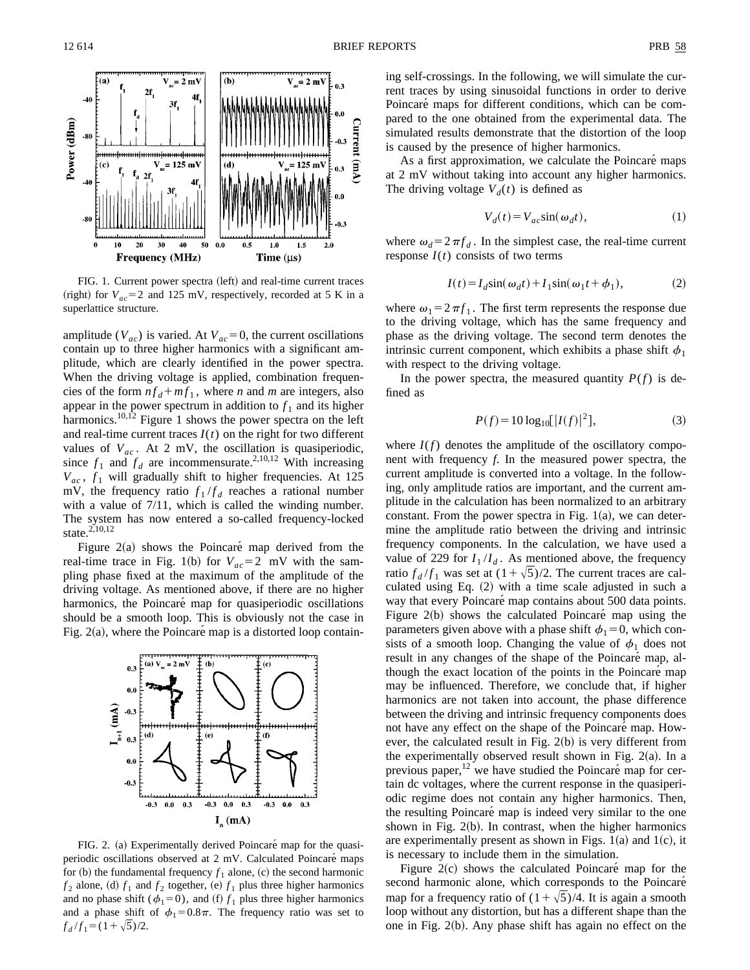

FIG. 1. Current power spectra (left) and real-time current traces (right) for  $V_{ac}$ =2 and 125 mV, respectively, recorded at 5 K in a superlattice structure.

amplitude ( $V_{ac}$ ) is varied. At  $V_{ac}$  = 0, the current oscillations contain up to three higher harmonics with a significant amplitude, which are clearly identified in the power spectra. When the driving voltage is applied, combination frequencies of the form  $nf_d + mf_1$ , where *n* and *m* are integers, also appear in the power spectrum in addition to  $f_1$  and its higher harmonics.<sup>10,12</sup> Figure 1 shows the power spectra on the left and real-time current traces  $I(t)$  on the right for two different values of  $V_{ac}$ . At 2 mV, the oscillation is quasiperiodic, since  $f_1$  and  $f_d$  are incommensurate.<sup>2,10,12</sup> With increasing  $V_{ac}$ ,  $f_1$  will gradually shift to higher frequencies. At 125 mV, the frequency ratio  $f_1/f_d$  reaches a rational number with a value of 7/11, which is called the winding number. The system has now entered a so-called frequency-locked state.<sup>2,10,12</sup>

Figure  $2(a)$  shows the Poincaré map derived from the real-time trace in Fig. 1(b) for  $V_{ac}$ =2 mV with the sampling phase fixed at the maximum of the amplitude of the driving voltage. As mentioned above, if there are no higher harmonics, the Poincaré map for quasiperiodic oscillations should be a smooth loop. This is obviously not the case in Fig.  $2(a)$ , where the Poincaré map is a distorted loop contain-



FIG. 2. (a) Experimentally derived Poincaré map for the quasiperiodic oscillations observed at 2 mV. Calculated Poincaré maps for (b) the fundamental frequency  $f_1$  alone, (c) the second harmonic  $f_2$  alone, (d)  $f_1$  and  $f_2$  together, (e)  $f_1$  plus three higher harmonics and no phase shift ( $\phi_1=0$ ), and (f)  $f_1$  plus three higher harmonics and a phase shift of  $\phi_1=0.8\pi$ . The frequency ratio was set to  $f_d/f_1 = (1+\sqrt{5})/2.$ 

ing self-crossings. In the following, we will simulate the current traces by using sinusoidal functions in order to derive Poincaré maps for different conditions, which can be compared to the one obtained from the experimental data. The simulated results demonstrate that the distortion of the loop is caused by the presence of higher harmonics.

As a first approximation, we calculate the Poincaré maps at 2 mV without taking into account any higher harmonics. The driving voltage  $V_d(t)$  is defined as

$$
V_d(t) = V_{ac} \sin(\omega_d t), \qquad (1)
$$

where  $\omega_d = 2 \pi f_d$ . In the simplest case, the real-time current response  $I(t)$  consists of two terms

$$
I(t) = I_d \sin(\omega_d t) + I_1 \sin(\omega_1 t + \phi_1), \tag{2}
$$

where  $\omega_1 = 2 \pi f_1$ . The first term represents the response due to the driving voltage, which has the same frequency and phase as the driving voltage. The second term denotes the intrinsic current component, which exhibits a phase shift  $\phi_1$ with respect to the driving voltage.

In the power spectra, the measured quantity  $P(f)$  is defined as

$$
P(f) = 10 \log_{10} [|I(f)|^2],\tag{3}
$$

where  $I(f)$  denotes the amplitude of the oscillatory component with frequency *f*. In the measured power spectra, the current amplitude is converted into a voltage. In the following, only amplitude ratios are important, and the current amplitude in the calculation has been normalized to an arbitrary constant. From the power spectra in Fig.  $1(a)$ , we can determine the amplitude ratio between the driving and intrinsic frequency components. In the calculation, we have used a value of 229 for  $I_1/I_d$ . As mentioned above, the frequency ratio  $f_d/f_1$  was set at  $(1+\sqrt{5})/2$ . The current traces are calculated using Eq.  $(2)$  with a time scale adjusted in such a way that every Poincaré map contains about 500 data points. Figure  $2(b)$  shows the calculated Poincaré map using the parameters given above with a phase shift  $\phi_1=0$ , which consists of a smooth loop. Changing the value of  $\phi_1$  does not result in any changes of the shape of the Poincaré map, although the exact location of the points in the Poincaré map may be influenced. Therefore, we conclude that, if higher harmonics are not taken into account, the phase difference between the driving and intrinsic frequency components does not have any effect on the shape of the Poincaré map. However, the calculated result in Fig.  $2(b)$  is very different from the experimentally observed result shown in Fig.  $2(a)$ . In a previous paper, $12$  we have studied the Poincaré map for certain dc voltages, where the current response in the quasiperiodic regime does not contain any higher harmonics. Then, the resulting Poincaré map is indeed very similar to the one shown in Fig.  $2(b)$ . In contrast, when the higher harmonics are experimentally present as shown in Figs.  $1(a)$  and  $1(c)$ , it is necessary to include them in the simulation.

Figure  $2(c)$  shows the calculated Poincaré map for the second harmonic alone, which corresponds to the Poincaré map for a frequency ratio of  $(1+\sqrt{5})/4$ . It is again a smooth loop without any distortion, but has a different shape than the one in Fig.  $2(b)$ . Any phase shift has again no effect on the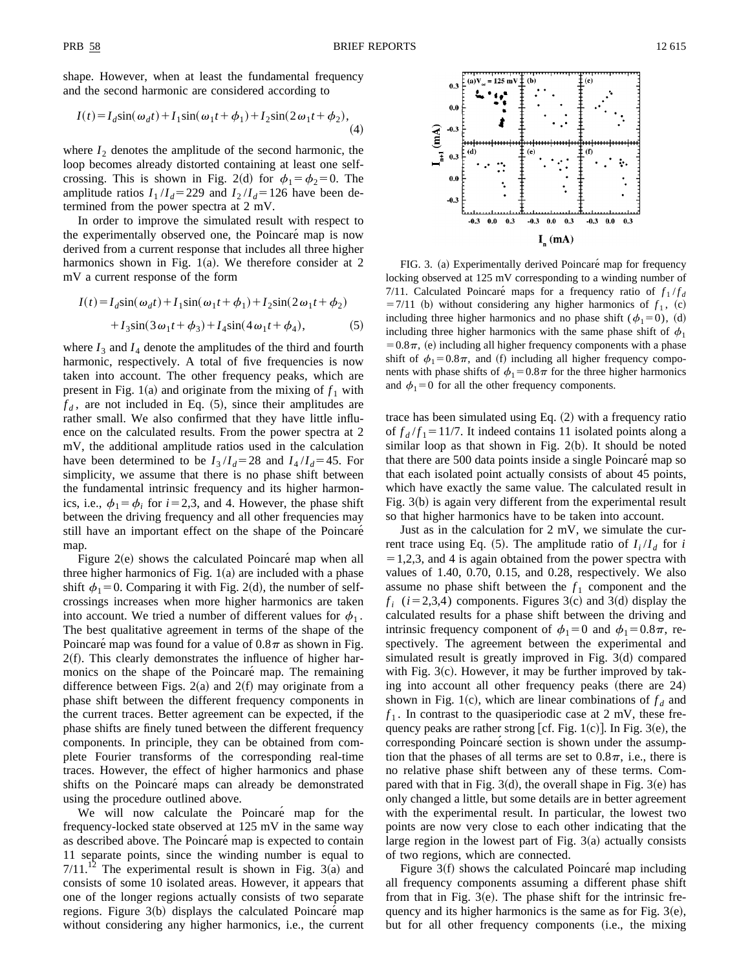shape. However, when at least the fundamental frequency and the second harmonic are considered according to

$$
I(t) = I_d \sin(\omega_d t) + I_1 \sin(\omega_1 t + \phi_1) + I_2 \sin(2\omega_1 t + \phi_2),
$$
\n(4)

where  $I_2$  denotes the amplitude of the second harmonic, the loop becomes already distorted containing at least one selfcrossing. This is shown in Fig. 2(d) for  $\phi_1 = \phi_2 = 0$ . The amplitude ratios  $I_1/I_d$ =229 and  $I_2/I_d$ =126 have been determined from the power spectra at 2 mV.

In order to improve the simulated result with respect to the experimentally observed one, the Poincaré map is now derived from a current response that includes all three higher harmonics shown in Fig. 1(a). We therefore consider at 2 mV a current response of the form

$$
I(t) = I_d \sin(\omega_d t) + I_1 \sin(\omega_1 t + \phi_1) + I_2 \sin(2\omega_1 t + \phi_2)
$$
  
+ 
$$
I_3 \sin(3\omega_1 t + \phi_3) + I_4 \sin(4\omega_1 t + \phi_4),
$$
 (5)

where  $I_3$  and  $I_4$  denote the amplitudes of the third and fourth harmonic, respectively. A total of five frequencies is now taken into account. The other frequency peaks, which are present in Fig. 1(a) and originate from the mixing of  $f_1$  with  $f_d$ , are not included in Eq.  $(5)$ , since their amplitudes are rather small. We also confirmed that they have little influence on the calculated results. From the power spectra at 2 mV, the additional amplitude ratios used in the calculation have been determined to be  $I_3/I_d = 28$  and  $I_4/I_d = 45$ . For simplicity, we assume that there is no phase shift between the fundamental intrinsic frequency and its higher harmonics, i.e.,  $\phi_1 = \phi_i$  for  $i = 2,3$ , and 4. However, the phase shift between the driving frequency and all other frequencies may still have an important effect on the shape of the Poincaré map.

Figure  $2(e)$  shows the calculated Poincaré map when all three higher harmonics of Fig.  $1(a)$  are included with a phase shift  $\phi_1=0$ . Comparing it with Fig. 2(d), the number of selfcrossings increases when more higher harmonics are taken into account. We tried a number of different values for  $\phi_1$ . The best qualitative agreement in terms of the shape of the Poincaré map was found for a value of  $0.8\pi$  as shown in Fig.  $2(f)$ . This clearly demonstrates the influence of higher harmonics on the shape of the Poincaré map. The remaining difference between Figs.  $2(a)$  and  $2(f)$  may originate from a phase shift between the different frequency components in the current traces. Better agreement can be expected, if the phase shifts are finely tuned between the different frequency components. In principle, they can be obtained from complete Fourier transforms of the corresponding real-time traces. However, the effect of higher harmonics and phase shifts on the Poincaré maps can already be demonstrated using the procedure outlined above.

We will now calculate the Poincaré map for the frequency-locked state observed at 125 mV in the same way as described above. The Poincaré map is expected to contain 11 separate points, since the winding number is equal to  $7/11<sup>12</sup>$  The experimental result is shown in Fig. 3(a) and consists of some 10 isolated areas. However, it appears that one of the longer regions actually consists of two separate regions. Figure  $3(b)$  displays the calculated Poincaré map without considering any higher harmonics, i.e., the current



FIG. 3. (a) Experimentally derived Poincaré map for frequency locking observed at 125 mV corresponding to a winding number of 7/11. Calculated Poincaré maps for a frequency ratio of  $f_1 / f_d$  $=7/11$  (b) without considering any higher harmonics of  $f_1$ , (c) including three higher harmonics and no phase shift ( $\phi_1=0$ ), (d) including three higher harmonics with the same phase shift of  $\phi_1$  $=0.8\pi$ , (e) including all higher frequency components with a phase shift of  $\phi_1=0.8\pi$ , and (f) including all higher frequency components with phase shifts of  $\phi_1=0.8\pi$  for the three higher harmonics and  $\phi_1=0$  for all the other frequency components.

trace has been simulated using Eq.  $(2)$  with a frequency ratio of  $f_d/f_1 = 11/7$ . It indeed contains 11 isolated points along a similar loop as that shown in Fig.  $2(b)$ . It should be noted that there are 500 data points inside a single Poincaré map so that each isolated point actually consists of about 45 points, which have exactly the same value. The calculated result in Fig.  $3(b)$  is again very different from the experimental result so that higher harmonics have to be taken into account.

Just as in the calculation for 2 mV, we simulate the current trace using Eq.  $(5)$ . The amplitude ratio of  $I_i/I_d$  for *i*  $=1,2,3$ , and 4 is again obtained from the power spectra with values of 1.40, 0.70, 0.15, and 0.28, respectively. We also assume no phase shift between the  $f_1$  component and the  $f_i$  ( $i=2,3,4$ ) components. Figures 3(c) and 3(d) display the calculated results for a phase shift between the driving and intrinsic frequency component of  $\phi_1=0$  and  $\phi_1=0.8\pi$ , respectively. The agreement between the experimental and simulated result is greatly improved in Fig.  $3(d)$  compared with Fig.  $3(c)$ . However, it may be further improved by taking into account all other frequency peaks (there are  $24$ ) shown in Fig. 1(c), which are linear combinations of  $f_d$  and  $f_1$ . In contrast to the quasiperiodic case at 2 mV, these frequency peaks are rather strong [cf. Fig. 1(c)]. In Fig. 3(e), the corresponding Poincaré section is shown under the assumption that the phases of all terms are set to  $0.8\pi$ , i.e., there is no relative phase shift between any of these terms. Compared with that in Fig.  $3(d)$ , the overall shape in Fig.  $3(e)$  has only changed a little, but some details are in better agreement with the experimental result. In particular, the lowest two points are now very close to each other indicating that the large region in the lowest part of Fig.  $3(a)$  actually consists of two regions, which are connected.

Figure  $3(f)$  shows the calculated Poincaré map including all frequency components assuming a different phase shift from that in Fig.  $3(e)$ . The phase shift for the intrinsic frequency and its higher harmonics is the same as for Fig.  $3(e)$ , but for all other frequency components (i.e., the mixing